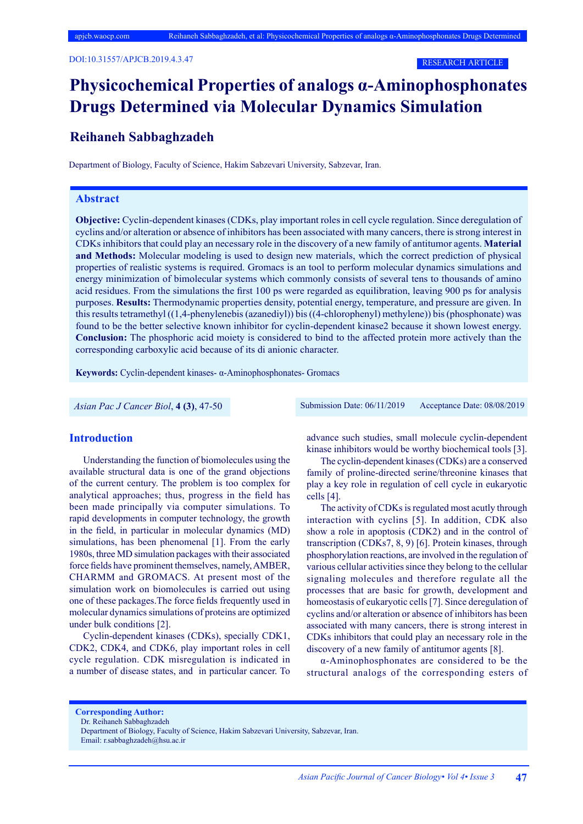# **Physicochemical Properties of analogs α-Aminophosphonates Drugs Determined via Molecular Dynamics Simulation**

## **Reihaneh Sabbaghzadeh**

Department of Biology, Faculty of Science, Hakim Sabzevari University, Sabzevar, Iran.

#### **Abstract**

**Objective:** Cyclin-dependent kinases (CDKs, play important roles in cell cycle regulation. Since deregulation of cyclins and/or alteration or absence of inhibitors has been associated with many cancers, there is strong interest in CDKs inhibitors that could play an necessary role in the discovery of a new family of antitumor agents. **Material and Methods:** Molecular modeling is used to design new materials, which the correct prediction of physical properties of realistic systems is required. Gromacs is an tool to perform molecular dynamics simulations and energy minimization of bimolecular systems which commonly consists of several tens to thousands of amino acid residues. From the simulations the first 100 ps were regarded as equilibration, leaving 900 ps for analysis purposes. **Results:** Thermodynamic properties density, potential energy, temperature, and pressure are given. In this results tetramethyl ((1,4-phenylenebis (azanediyl)) bis ((4-chlorophenyl) methylene)) bis (phosphonate) was found to be the better selective known inhibitor for cyclin-dependent kinase2 because it shown lowest energy. **Conclusion:** The phosphoric acid moiety is considered to bind to the affected protein more actively than the corresponding carboxylic acid because of its di anionic character.

**Keywords:** Cyclin-dependent kinases- α-Aminophosphonates- Gromacs

*Asian Pac J Cancer Biol*, **4 (3)**, 47-50 Submission Date: 06/11/2019 Acceptance Date: 08/08/2019

#### **Introduction**

Understanding the function of biomolecules using the available structural data is one of the grand objections of the current century. The problem is too complex for analytical approaches; thus, progress in the field has been made principally via computer simulations. To rapid developments in computer technology, the growth in the field, in particular in molecular dynamics (MD) simulations, has been phenomenal [1]. From the early 1980s, three MD simulation packages with their associated force fields have prominent themselves, namely, AMBER, CHARMM and GROMACS. At present most of the simulation work on biomolecules is carried out using one of these packages.The force fields frequently used in molecular dynamics simulations of proteins are optimized under bulk conditions [2].

Cyclin-dependent kinases (CDKs), specially CDK1, CDK2, CDK4, and CDK6, play important roles in cell cycle regulation. CDK misregulation is indicated in a number of disease states, and in particular cancer. To advance such studies, small molecule cyclin-dependent kinase inhibitors would be worthy biochemical tools [3].

The cyclin-dependent kinases (CDKs) are a conserved family of proline-directed serine/threonine kinases that play a key role in regulation of cell cycle in eukaryotic cells [4].

The activity of CDKs is regulated most acutly through interaction with cyclins [5]. In addition, CDK also show a role in apoptosis (CDK2) and in the control of transcription (CDKs7, 8, 9) [6]. Protein kinases, through phosphorylation reactions, are involved in the regulation of various cellular activities since they belong to the cellular signaling molecules and therefore regulate all the processes that are basic for growth, development and homeostasis of eukaryotic cells [7]. Since deregulation of cyclins and/or alteration or absence of inhibitors has been associated with many cancers, there is strong interest in CDKs inhibitors that could play an necessary role in the discovery of a new family of antitumor agents [8].

α-Aminophosphonates are considered to be the structural analogs of the corresponding esters of

**Corresponding Author:**

Dr. Reihaneh Sabbaghzadeh

Email: r.sabbaghzadeh@hsu.ac.ir

Department of Biology, Faculty of Science, Hakim Sabzevari University, Sabzevar, Iran.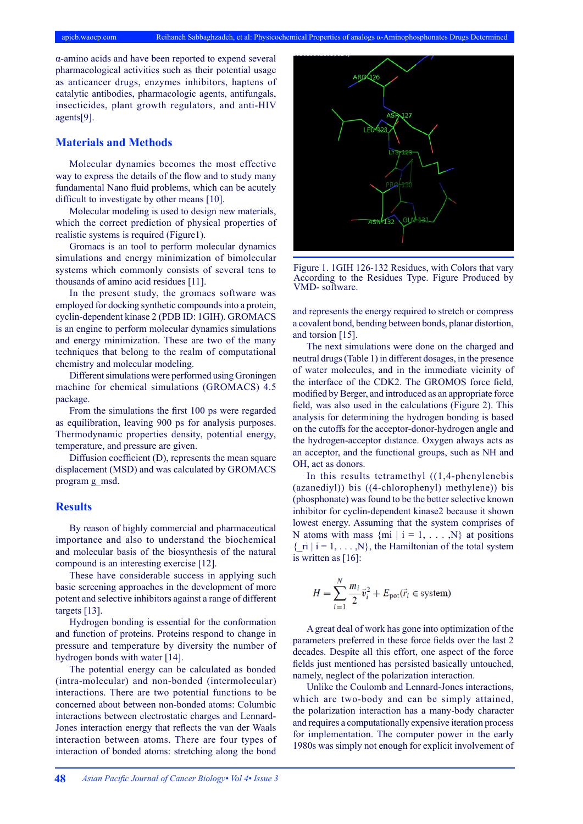α-amino acids and have been reported to expend several pharmacological activities such as their potential usage as anticancer drugs, enzymes inhibitors, haptens of catalytic antibodies, pharmacologic agents, antifungals, insecticides, plant growth regulators, and anti-HIV agents[9].

#### **Materials and Methods**

Molecular dynamics becomes the most effective way to express the details of the flow and to study many fundamental Nano fluid problems, which can be acutely difficult to investigate by other means [10].

Molecular modeling is used to design new materials, which the correct prediction of physical properties of realistic systems is required (Figure1).

Gromacs is an tool to perform molecular dynamics simulations and energy minimization of bimolecular systems which commonly consists of several tens to thousands of amino acid residues [11].

In the present study, the gromacs software was employed for docking synthetic compounds into a protein, cyclin-dependent kinase 2 (PDB ID: 1GIH). GROMACS is an engine to perform molecular dynamics simulations and energy minimization. These are two of the many techniques that belong to the realm of computational chemistry and molecular modeling.

Different simulations were performed using Groningen machine for chemical simulations (GROMACS) 4.5 package.

From the simulations the first 100 ps were regarded as equilibration, leaving 900 ps for analysis purposes. Thermodynamic properties density, potential energy, temperature, and pressure are given.

Diffusion coefficient (D), represents the mean square displacement (MSD) and was calculated by GROMACS program g\_msd.

#### **Results**

By reason of highly commercial and pharmaceutical importance and also to understand the biochemical and molecular basis of the biosynthesis of the natural compound is an interesting exercise [12].

These have considerable success in applying such basic screening approaches in the development of more potent and selective inhibitors against a range of different targets [13].

Hydrogen bonding is essential for the conformation and function of proteins. Proteins respond to change in pressure and temperature by diversity the number of hydrogen bonds with water [14].

The potential energy can be calculated as bonded (intra-molecular) and non-bonded (intermolecular) interactions. There are two potential functions to be concerned about between non-bonded atoms: Columbic interactions between electrostatic charges and Lennard-Jones interaction energy that reflects the van der Waals interaction between atoms. There are four types of interaction of bonded atoms: stretching along the bond



Figure 1. 1GIH 126-132 Residues, with Colors that vary According to the Residues Type. Figure Produced by VMD- software.

and represents the energy required to stretch or compress a covalent bond, bending between bonds, planar distortion, and torsion [15].

The next simulations were done on the charged and neutral drugs (Table 1) in different dosages, in the presence of water molecules, and in the immediate vicinity of the interface of the CDK2. The GROMOS force field, modified by Berger, and introduced as an appropriate force field, was also used in the calculations (Figure 2). This analysis for determining the hydrogen bonding is based on the cutoffs for the acceptor-donor-hydrogen angle and the hydrogen-acceptor distance. Oxygen always acts as an acceptor, and the functional groups, such as NH and OH, act as donors.

In this results tetramethyl ((1,4-phenylenebis (azanediyl)) bis ((4-chlorophenyl) methylene)) bis (phosphonate) was found to be the better selective known inhibitor for cyclin-dependent kinase2 because it shown lowest energy. Assuming that the system comprises of N atoms with mass  $\{mi \mid i = 1, \ldots, N\}$  at positions  $\{$  ri  $| i = 1, ..., N\}$ , the Hamiltonian of the total system is written as [16]:

$$
H = \sum_{i=1}^{N} \frac{m_i}{2} \vec{v}_i^2 + E_{\text{pot}}(\vec{r}_i \in \text{system})
$$

A great deal of work has gone into optimization of the parameters preferred in these force fields over the last 2 decades. Despite all this effort, one aspect of the force fields just mentioned has persisted basically untouched, namely, neglect of the polarization interaction.

Unlike the Coulomb and Lennard-Jones interactions, which are two-body and can be simply attained, the polarization interaction has a many-body character and requires a computationally expensive iteration process for implementation. The computer power in the early 1980s was simply not enough for explicit involvement of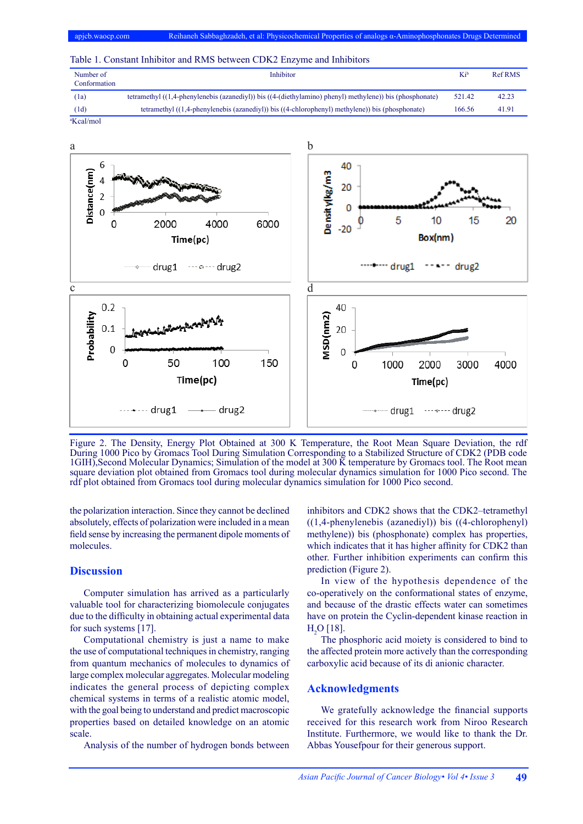| Table 1. Constant Inhibitor and RMS between CDK2 Enzyme and Inhibitors |  |  |  |
|------------------------------------------------------------------------|--|--|--|
|------------------------------------------------------------------------|--|--|--|

| Number of<br>Conformation | Inhibitor                                                                                                | Kib    | <b>Ref RMS</b> |
|---------------------------|----------------------------------------------------------------------------------------------------------|--------|----------------|
| (1a)                      | tetramethyl ((1,4-phenylenebis (azanediyl)) bis ((4-(diethylamino) phenyl) methylene)) bis (phosphonate) | 521.42 | 42.23          |
| (1d)                      | tetramethyl ((1,4-phenylenebis (azanediyl)) bis ((4-chlorophenyl) methylene)) bis (phosphonate)          | 166.56 | 41.91          |
| <sup>a</sup> Kcal/mol     |                                                                                                          |        |                |



Figure 2. The Density, Energy Plot Obtained at 300 K Temperature, the Root Mean Square Deviation, the rdf During 1000 Pico by Gromacs Tool During Simulation Corresponding to a Stabilized Structure of CDK2 (PDB code 1GIH),Second Molecular Dynamics; Simulation of the model at 300 K temperature by Gromacs tool. The Root mean square deviation plot obtained from Gromacs tool during molecular dynamics simulation for 1000 Pico second. The rdf plot obtained from Gromacs tool during molecular dynamics simulation for 1000 Pico second.

the polarization interaction. Since they cannot be declined absolutely, effects of polarization were included in a mean field sense by increasing the permanent dipole moments of molecules.

### **Discussion**

Computer simulation has arrived as a particularly valuable tool for characterizing biomolecule conjugates due to the difficulty in obtaining actual experimental data for such systems [17].

Computational chemistry is just a name to make the use of computational techniques in chemistry, ranging from quantum mechanics of molecules to dynamics of large complex molecular aggregates. Molecular modeling indicates the general process of depicting complex chemical systems in terms of a realistic atomic model, with the goal being to understand and predict macroscopic properties based on detailed knowledge on an atomic scale.

Analysis of the number of hydrogen bonds between

inhibitors and CDK2 shows that the CDK2–tetramethyl ((1,4-phenylenebis (azanediyl)) bis ((4-chlorophenyl) methylene)) bis (phosphonate) complex has properties, which indicates that it has higher affinity for CDK2 than other. Further inhibition experiments can confirm this prediction (Figure 2).

In view of the hypothesis dependence of the co-operatively on the conformational states of enzyme, and because of the drastic effects water can sometimes have on protein the Cyclin-dependent kinase reaction in  $H<sub>2</sub>O$  [18].

The phosphoric acid moiety is considered to bind to the affected protein more actively than the corresponding carboxylic acid because of its di anionic character.

#### **Acknowledgments**

We gratefully acknowledge the financial supports received for this research work from Niroo Research Institute. Furthermore, we would like to thank the Dr. Abbas Yousefpour for their generous support.